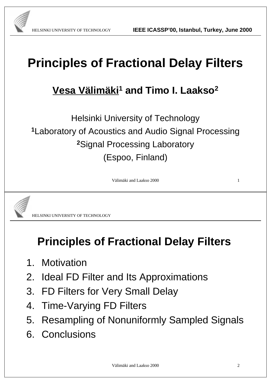# **Principles of Fractional Delay Filters**

#### **Vesa Välimäki<sup>1</sup> and Timo I. Laakso<sup>2</sup>**

Helsinki University of Technology **<sup>1</sup>**Laboratory of Acoustics and Audio Signal Processing **<sup>2</sup>**Signal Processing Laboratory (Espoo, Finland)

Välimäki and Laakso 2000 1



HELSINKI UNIVERSITY OF TECHNOLOGY

#### **Principles of Fractional Delay Filters**

- 1. Motivation
- 2. Ideal FD Filter and Its Approximations
- 3. FD Filters for Very Small Delay
- 4. Time-Varying FD Filters
- 5. Resampling of Nonuniformly Sampled Signals
- 6. Conclusions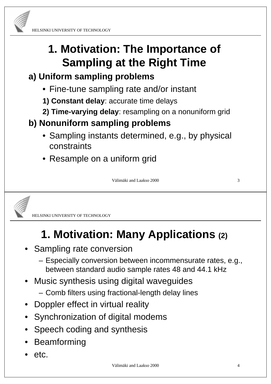

### **1. Motivation: The Importance of Sampling at the Right Time**

#### **a) Uniform sampling problems**

- Fine-tune sampling rate and/or instant
- **1) Constant delay**: accurate time delays
- **2) Time-varying delay**: resampling on a nonuniform grid

#### **b) Nonuniform sampling problems**

- Sampling instants determined, e.g., by physical constraints
- Resample on a uniform grid

Välimäki and Laakso 2000 3



HELSINKI UNIVERSITY OF TECHNOLOGY

# **1. Motivation: Many Applications (2)**

- Sampling rate conversion
	- Especially conversion between incommensurate rates, e.g., between standard audio sample rates 48 and 44.1 kHz
- Music synthesis using digital waveguides
	- Comb filters using fractional-length delay lines
- Doppler effect in virtual reality
- Synchronization of digital modems
- Speech coding and synthesis
- Beamforming
- etc.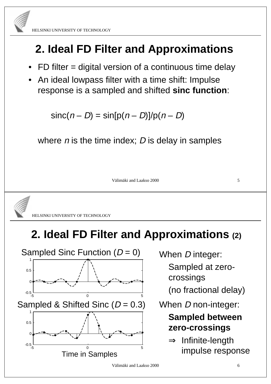

HELSINKI UNIVERSITY OF TECHNOLOGY

### **2. Ideal FD Filter and Approximations**

- FD filter = digital version of a continuous time delay
- An ideal lowpass filter with a time shift: Impulse response is a sampled and shifted **sinc function**:

 $sinc(n - D) = sin[p(n - D)]/p(n - D)$ 

where  $n$  is the time index;  $D$  is delay in samples

Välimäki and Laakso 2000 5



HELSINKI UNIVERSITY OF TECHNOLOGY

#### **2. Ideal FD Filter and Approximations (2)**



When D integer:

Sampled at zerocrossings

(no fractional delay)

When *D* non-integer:

#### **Sampled between zero-crossings**

 $\Rightarrow$  Infinite-length impulse response

Välimäki and Laakso 2000 6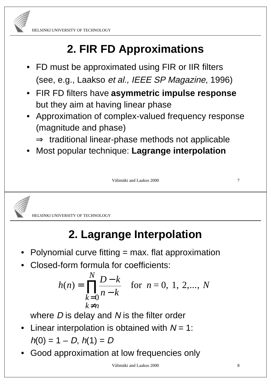

# **2. FIR FD Approximations**

- FD must be approximated using FIR or IIR filters (see, e.g., Laakso et al., IEEE SP Magazine, 1996)
- FIR FD filters have **asymmetric impulse response** but they aim at having linear phase
- Approximation of complex-valued frequency response (magnitude and phase)
	- $\Rightarrow$  traditional linear-phase methods not applicable
- Most popular technique: **Lagrange interpolation**

Välimäki and Laakso 2000 *7* 



HELSINKI UNIVERSITY OF TECHNOLOGY

# **2. Lagrange Interpolation**

- Polynomial curve fitting  $=$  max. flat approximation
- Closed-form formula for coefficients:

$$
h(n) = \prod_{\substack{k=0 \ k \neq n}}^{N} \frac{D-k}{n-k}
$$
 for  $n = 0, 1, 2, ..., N$ 

where  $D$  is delay and  $N$  is the filter order

- Linear interpolation is obtained with  $N = 1$ :  $h(0) = 1 - D$ ,  $h(1) = D$
- Good approximation at low frequencies only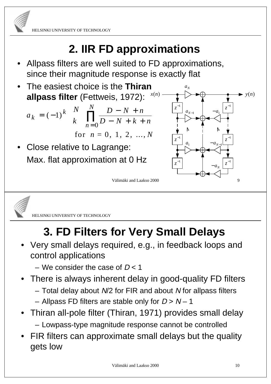# **2. IIR FD approximations**

- Allpass filters are well suited to FD approximations, since their magnitude response is exactly flat
- The easiest choice is the **Thiran allpass filter** (Fettweis, 1972):

$$
a_k = (-1)^k {N \choose k} \prod_{n=0}^N \frac{D - N + n}{D - N + k + n}
$$

for 
$$
n = 0, 1, 2, ..., N
$$

Close relative to Lagrange: Max. flat approximation at 0 Hz





HELSINKI UNIVERSITY OF TECHNOLOGY

# **3. FD Filters for Very Small Delays**

Välimäki and Laakso 2000

- Very small delays required, e.g., in feedback loops and control applications
	- We consider the case of  $D < 1$
- There is always inherent delay in good-quality FD filters
	- Total delay about N/2 for FIR and about N for allpass filters
	- Allpass FD filters are stable only for  $D > N 1$
- Thiran all-pole filter (Thiran, 1971) provides small delay – Lowpass-type magnitude response cannot be controlled
- FIR filters can approximate small delays but the quality gets low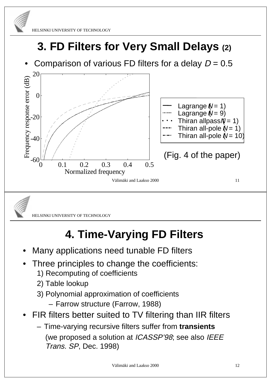

# **3. FD Filters for Very Small Delays (2)**

Comparison of various FD filters for a delay  $D = 0.5$ 





HELSINKI UNIVERSITY OF TECHNOLOGY

# **4. Time-Varying FD Filters**

- Many applications need tunable FD filters
- Three principles to change the coefficients:
	- 1) Recomputing of coefficients
	- 2) Table lookup
	- 3) Polynomial approximation of coefficients
		- Farrow structure (Farrow, 1988)
- FIR filters better suited to TV filtering than IIR filters
	- Time-varying recursive filters suffer from **transients** (we proposed a solution at ICASSP'98; see also IEEE Trans. SP, Dec. 1998)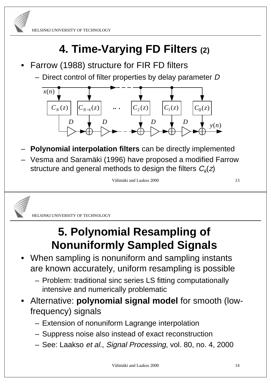

### **4. Time-Varying FD Filters (2)**

- Farrow (1988) structure for FIR FD filters
	- Direct control of filter properties by delay parameter D



- **Polynomial interpolation filters** can be directly implemented
- Vesma and Saramäki (1996) have proposed a modified Farrow structure and general methods to design the filters  $C_k(z)$

```
Välimäki and Laakso 2000 13
```


HELSINKI UNIVERSITY OF TECHNOLOGY

#### **5. Polynomial Resampling of Nonuniformly Sampled Signals**

- When sampling is nonuniform and sampling instants are known accurately, uniform resampling is possible
	- Problem: traditional sinc series LS fitting computationally intensive and numerically problematic
- Alternative: **polynomial signal model** for smooth (lowfrequency) signals
	- Extension of nonuniform Lagrange interpolation
	- Suppress noise also instead of exact reconstruction
	- See: Laakso et al., Signal Processing, vol. 80, no. 4, 2000